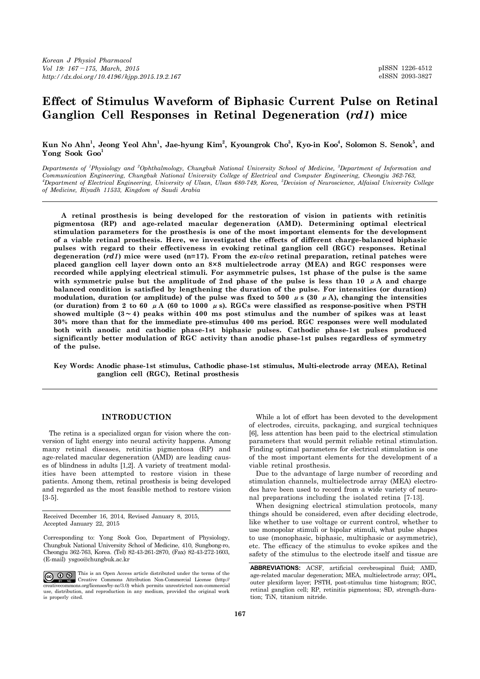# **Effect of Stimulus Waveform of Biphasic Current Pulse on Retinal Ganglion Cell Responses in Retinal Degeneration (***rd1***) mice**

**Kun No Ahn<sup>1</sup> , Jeong Yeol Ahn<sup>1</sup> , Jae-hyung Kim<sup>2</sup> , Kyoungrok Cho<sup>3</sup> , Kyo-in Koo<sup>4</sup> , Solomon S. Senok<sup>5</sup> , and Yong Sook Goo<sup>1</sup>**

*Departments of <sup>1</sup>Physiology and <sup>2</sup>Ophthalmology, Chungbuk National University School of Medicine, <sup>3</sup>Department of Information and Communication Engineering, Chungbuk National University College of Electrical and Computer Engineering, Cheongju 362-763,*  <sup>4</sup>*Department of Electrical Engineering, University of Ulsan, Ulsan 680-749, Korea, <sup>5</sup><i>Devision of Neuroscience, Alfaisal University College of Medicine, Riyadh 11533, Kingdom of Saudi Arabia*

 **A retinal prosthesis is being developed for the restoration of vision in patients with retinitis pigmentosa (RP) and age-related macular degeneration (AMD). Determining optimal electrical stimulation parameters for the prosthesis is one of the most important elements for the development of a viable retinal prosthesis. Here, we investigated the effects of different charge-balanced biphasic pulses with regard to their effectiveness in evoking retinal ganglion cell (RGC) responses. Retinal degeneration (***rd1***) mice were used (n=17). From the** *ex-vivo* **retinal preparation, retinal patches were placed ganglion cell layer down onto an 8×8 multielectrode array (MEA) and RGC responses were recorded while applying electrical stimuli. For asymmetric pulses, 1st phase of the pulse is the same**  with symmetric pulse but the amplitude of 2nd phase of the pulse is less than 10  $\mu$ A and charge **balanced condition is satisfied by lengthening the duration of the pulse. For intensities (or duration)**  modulation, duration (or amplitude) of the pulse was fixed to 500  $\mu$  s (30  $\mu$ A), changing the intensities **(or duration) from 2 to 60** μ**A (60 to 1000** μ**s). RGCs were classified as response-positive when PSTH showed multiple (3**∼**4) peaks within 400 ms post stimulus and the number of spikes was at least 30% more than that for the immediate pre-stimulus 400 ms period. RGC responses were well modulated both with anodic and cathodic phase-1st biphasic pulses. Cathodic phase-1st pulses produced significantly better modulation of RGC activity than anodic phase-1st pulses regardless of symmetry of the pulse.** 

**Key Words: Anodic phase-1st stimulus, Cathodic phase-1st stimulus, Multi-electrode array (MEA), Retinal ganglion cell (RGC), Retinal prosthesis**

# **INTRODUCTION**

 The retina is a specialized organ for vision where the conversion of light energy into neural activity happens. Among many retinal diseases, retinitis pigmentosa (RP) and age-related macular degeneration (AMD) are leading causes of blindness in adults [1,2]. A variety of treatment modalities have been attempted to restore vision in these patients. Among them, retinal prosthesis is being developed and regarded as the most feasible method to restore vision [3-5].

Received December 16, 2014, Revised January 8, 2015, Accepted January 22, 2015

Corresponding to: Yong Sook Goo, Department of Physiology, Chungbuk National University School of Medicine, 410, Sungbong-ro, Cheongju 362-763, Korea. (Tel) 82-43-261-2870, (Fax) 82-43-272-1603, (E-mail) ysgoo@chungbuk.ac.kr

This is an Open Access article distributed under the terms of the Creative Commons Attribution Non-Commercial License (http:// creativecommons.org/licenses/by-nc/3.0) which permits unrestricted non-commercial use, distribution, and reproduction in any medium, provided the original work is properly cited.

 While a lot of effort has been devoted to the development of electrodes, circuits, packaging, and surgical techniques [6], less attention has been paid to the electrical stimulation parameters that would permit reliable retinal stimulation. Finding optimal parameters for electrical stimulation is one of the most important elements for the development of a viable retinal prosthesis.

 Due to the advantage of large number of recording and stimulation channels, multielectrode array (MEA) electrodes have been used to record from a wide variety of neuronal preparations including the isolated retina [7-13].

 When designing electrical stimulation protocols, many things should be considered, even after deciding electrode, like whether to use voltage or current control, whether to use monopolar stimuli or bipolar stimuli, what pulse shapes to use (monophasic, biphasic, multiphasic or asymmetric), etc. The efficacy of the stimulus to evoke spikes and the safety of the stimulus to the electrode itself and tissue are

**ABBREVIATIONS:** ACSF, artificial cerebrospinal fluid; AMD, age-related macular degeneration; MEA, multielectrode array; OPL, outer plexiform layer; PSTH, post-stimulus time histogram; RGC, retinal ganglion cell; RP, retinitis pigmentosa; SD, strength-duration; TiN, titanium nitride.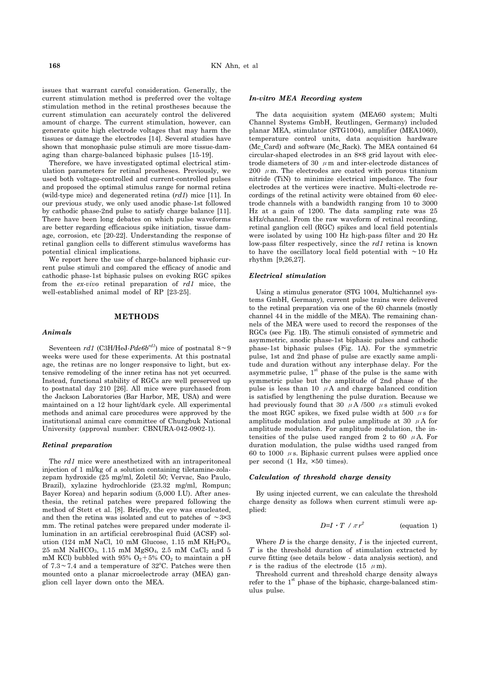issues that warrant careful consideration. Generally, the current stimulation method is preferred over the voltage stimulation method in the retinal prostheses because the current stimulation can accurately control the delivered amount of charge. The current stimulation, however, can generate quite high electrode voltages that may harm the tissues or damage the electrodes [14]. Several studies have shown that monophasic pulse stimuli are more tissue-damaging than charge-balanced biphasic pulses [15-19].

 Therefore, we have investigated optimal electrical stimulation parameters for retinal prostheses. Previously, we used both voltage-controlled and current-controlled pulses and proposed the optimal stimulus range for normal retina (wild-type mice) and degenerated retina (*rd1*) mice [11]. In our previous study, we only used anodic phase-1st followed by cathodic phase-2nd pulse to satisfy charge balance [11]. There have been long debates on which pulse waveforms are better regarding efficacious spike initiation, tissue damage, corrosion, etc [20-22]. Understanding the response of retinal ganglion cells to different stimulus waveforms has potential clinical implications.

 We report here the use of charge-balanced biphasic current pulse stimuli and compared the efficacy of anodic and cathodic phase-1st biphasic pulses on evoking RGC spikes from the *ex-vivo* retinal preparation of *rd1* mice, the well-established animal model of RP [23-25].

# **METHODS**

## *Animals*

 Seventeen *rd1* (C3H/HeJ-*Pde6brd1*) mice of postnatal 8∼9 weeks were used for these experiments. At this postnatal age, the retinas are no longer responsive to light, but extensive remodeling of the inner retina has not yet occurred. Instead, functional stability of RGCs are well preserved up to postnatal day 210 [26]. All mice were purchased from the Jackson Laboratories (Bar Harbor, ME, USA) and were maintained on a 12 hour light/dark cycle. All experimental methods and animal care procedures were approved by the institutional animal care committee of Chungbuk National University (approval number: CBNURA-042-0902-1).

#### *Retinal preparation*

 The *rd1* mice were anesthetized with an intraperitoneal injection of 1 ml/kg of a solution containing tiletamine-zolazepam hydroxide (25 mg/ml, Zoletil 50; Vervac, Sao Paulo, Brazil), xylazine hydrochloride (23.32 mg/ml, Rompun; Bayer Korea) and heparin sodium (5,000 I.U). After anesthesia, the retinal patches were prepared following the method of Stett et al. [8]. Briefly, the eye was enucleated, and then the retina was isolated and cut to patches of ∼3×3 mm. The retinal patches were prepared under moderate illumination in an artificial cerebrospinal fluid (ACSF) solution (124 mM NaCl, 10 mM Glucose, 1.15 mM  $KH_2PO_4$ ,  $25$  mM NaHCO<sub>3</sub>, 1.15 mM MgSO<sub>4</sub>, 2.5 mM CaCl<sub>2</sub> and 5 mM KCl) bubbled with 95%  $O_2+5\%$  CO<sub>2</sub> to maintain a pH of  $7.3 \sim 7.4$  and a temperature of 32°C. Patches were then mounted onto a planar microelectrode array (MEA) ganglion cell layer down onto the MEA.

#### *In-vitro MEA Recording system*

 The data acquisition system (MEA60 system; Multi Channel Systems GmbH, Reutlingen, Germany) included planar MEA, stimulator (STG1004), amplifier (MEA1060), temperature control units, data acquisition hardware (Mc\_Card) and software (Mc\_Rack). The MEA contained 64 circular-shaped electrodes in an 8×8 grid layout with electrode diameters of 30  $\mu$ m and inter-electrode distances of 200  $\mu$ m. The electrodes are coated with porous titanium nitride (TiN) to minimize electrical impedance. The four electrodes at the vertices were inactive. Multi-electrode recordings of the retinal activity were obtained from 60 electrode channels with a bandwidth ranging from 10 to 3000 Hz at a gain of 1200. The data sampling rate was 25 kHz/channel. From the raw waveform of retinal recording, retinal ganglion cell (RGC) spikes and local field potentials were isolated by using 100 Hz high-pass filter and 20 Hz low-pass filter respectively, since the *rd1* retina is known to have the oscillatory local field potential with ∼10 Hz rhythm [9,26,27].

#### *Electrical stimulation*

 Using a stimulus generator (STG 1004, Multichannel systems GmbH, Germany), current pulse trains were delivered to the retinal preparation via one of the 60 channels (mostly channel 44 in the middle of the MEA). The remaining channels of the MEA were used to record the responses of the RGCs (see Fig. 1B). The stimuli consisted of symmetric and asymmetric, anodic phase-1st biphasic pulses and cathodic phase-1st biphasic pulses (Fig. 1A). For the symmetric pulse, 1st and 2nd phase of pulse are exactly same amplitude and duration without any interphase delay. For the asymmetric pulse,  $1<sup>st</sup>$  phase of the pulse is the same with symmetric pulse but the amplitude of 2nd phase of the pulse is less than 10  $\mu$ A and charge balanced condition is satisfied by lengthening the pulse duration. Because we had previously found that 30  $\mu$  A /500  $\mu$  s stimuli evoked the most RGC spikes, we fixed pulse width at 500  $\mu$ s for amplitude modulation and pulse amplitude at 30  $\mu$ A for amplitude modulation. For amplitude modulation, the intensities of the pulse used ranged from 2 to 60  $\mu$ A. For duration modulation, the pulse widths used ranged from 60 to 1000  $\mu$ s. Biphasic current pulses were applied once per second (1 Hz, ×50 times).

### *Calculation of threshold charge density*

 By using injected current, we can calculate the threshold charge density as follows when current stimuli were applied:

$$
D=I \cdot T \ / \ \pi r^2
$$
 (equation 1)

 Where *D* is the charge density, *I* is the injected current, *T* is the threshold duration of stimulation extracted by curve fitting (see details below - data analysis section), and *r* is the radius of the electrode (15  $\mu$ m).

 Threshold current and threshold charge density always refer to the  $1<sup>st</sup>$  phase of the biphasic, charge-balanced stimulus pulse.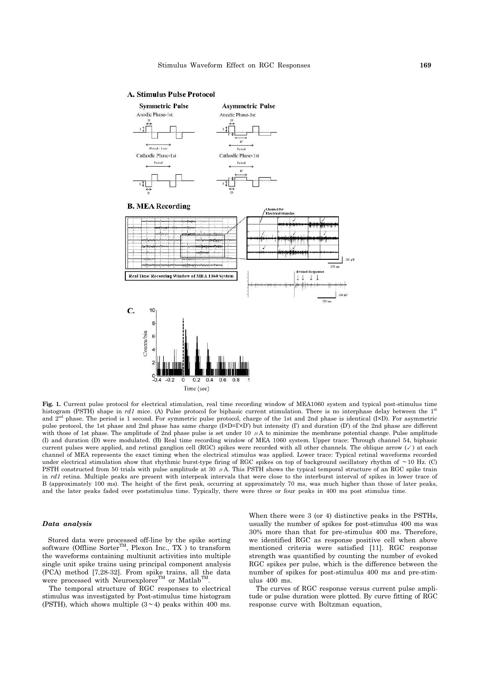# **A. Stimulus Pulse Protocol**



Fig. 1. Current pulse protocol for electrical stimulation, real time recording window of MEA1060 system and typical post-stimulus time histogram (PSTH) shape in *rd1* mice. (A) Pulse protocol for biphasic current stimulation. There is no interphase delay between the 1<sup>st</sup> and  $2<sup>nd</sup>$  phase. The period is 1 second. For symmetric pulse protocol, charge of the 1st and 2nd phase is identical (I×D). For asymmetric pulse protocol, the 1st phase and 2nd phase has same charge (I×D=I'×D') but intensity (I') and duration (D') of the 2nd phase are different with those of 1st phase. The amplitude of 2nd phase pulse is set under 10  $\mu$ A to minimize the membrane potential change. Pulse amplitude (I) and duration (D) were modulated. (B) Real time recording window of MEA 1060 system. Upper trace: Through channel 54, biphasic current pulses were applied, and retinal ganglion cell (RGC) spikes were recorded with all other channels. The oblique arrow  $(\checkmark)$  at each channel of MEA represents the exact timing when the electrical stimulus was applied. Lower trace: Typical retinal waveforms recorded under electrical stimulation show that rhythmic burst-type firing of RGC spikes on top of background oscillatory rhythm of ∼10 Hz. (C) PSTH constructed from 50 trials with pulse amplitude at 30  $\mu$ A. This PSTH shows the typical temporal structure of an RGC spike train in *rd1* retina. Multiple peaks are present with interpeak intervals that were close to the interburst interval of spikes in lower trace of B (approximately 100 ms). The height of the first peak, occurring at approximately 70 ms, was much higher than those of later peaks, and the later peaks faded over poststimulus time. Typically, there were three or four peaks in 400 ms post stimulus time.

## *Data analysis*

 Stored data were processed off-line by the spike sorting software (Offline Sorter<sup>TM</sup>, Plexon Inc., TX ) to transform the waveforms containing multiunit activities into multiple single unit spike trains using principal component analysis (PCA) method [7,28-32]. From spike trains, all the data were processed with Neuroexplorer<sup>TM</sup> or Matlab<sup>TM</sup> .

 The temporal structure of RGC responses to electrical stimulus was investigated by Post-stimulus time histogram (PSTH), which shows multiple (3∼4) peaks within 400 ms.

When there were 3 (or 4) distinctive peaks in the PSTHs, usually the number of spikes for post-stimulus 400 ms was 30% more than that for pre-stimulus 400 ms. Therefore, we identified RGC as response positive cell when above mentioned criteria were satisfied [11]. RGC response strength was quantified by counting the number of evoked RGC spikes per pulse, which is the difference between the number of spikes for post-stimulus 400 ms and pre-stimulus 400 ms.

 The curves of RGC response versus current pulse amplitude or pulse duration were plotted. By curve fitting of RGC response curve with Boltzman equation,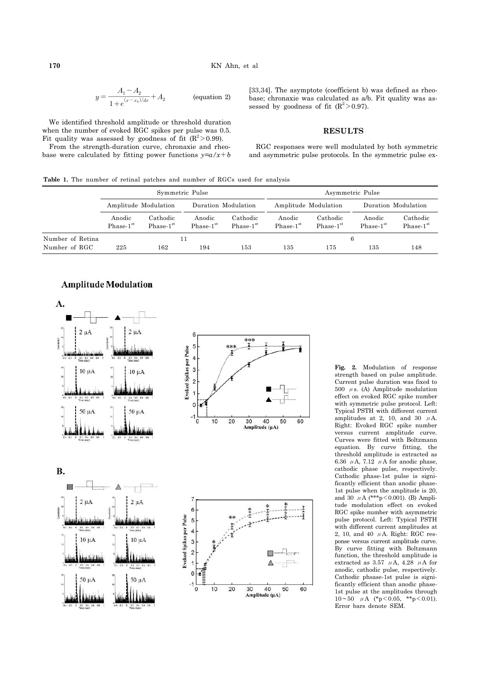170 KN A  
\n
$$
y = \frac{A_1 - A_2}{1 + e^{(x - x_0)/dx}} + A_2
$$
 (equation 2)

 We identified threshold amplitude or threshold duration when the number of evoked RGC spikes per pulse was 0.5. Fit quality was assessed by goodness of fit  $(R^2>0.99)$ .

 From the strength-duration curve, chronaxie and rheobase were calculated by fitting power functions  $y=a/x+b$ 

[33,34]. The asymptote (coefficient b) was defined as rheobase; chronaxie was calculated as a/b. Fit quality was assessed by goodness of fit  $(R^2>0.97)$ .

# **RESULTS**

 RGC responses were well modulated by both symmetric and asymmetric pulse protocols. In the symmetric pulse ex-

**Table 1.** The number of retinal patches and number of RGCs used for analysis

|                  | Symmetric Pulse       |                         |                                 |                                   | Asymmetric Pulse      |                                   |                       |                         |
|------------------|-----------------------|-------------------------|---------------------------------|-----------------------------------|-----------------------|-----------------------------------|-----------------------|-------------------------|
|                  | Amplitude Modulation  |                         | Duration Modulation             |                                   | Amplitude Modulation  |                                   | Duration Modulation   |                         |
|                  | Anodic<br>$Phase-1st$ | Cathodic<br>$Phase-1st$ | Anodic<br>Phase-1 <sup>st</sup> | Cathodic<br>Phase-1 <sup>st</sup> | Anodic<br>$Phase-1st$ | Cathodic<br>Phase-1 <sup>st</sup> | Anodic<br>$Phase-1st$ | Cathodic<br>$Phase-1st$ |
| Number of Retina |                       |                         | 6                               |                                   |                       |                                   |                       |                         |
| Number of RGC    | 225                   | 162                     | 194                             | $^{153}$                          | 135                   | 175                               | 135                   | 148                     |





**Fig. 2.** Modulation of response strength based on pulse amplitude. Current pulse duration was fixed to 500  $\mu$ s. (A) Amplitude modulation effect on evoked RGC spike number with symmetric pulse protocol. Left: Typical PSTH with different current amplitudes at 2, 10, and 30  $\mu$ A. Right: Evoked RGC spike number versus current amplitude curve. Curves were fitted with Boltzmann equation. By curve fitting, the threshold amplitude is extracted as 6.36  $\mu$  A, 7.12  $\mu$  A for anodic phase, cathodic phase pulse, respectively. Cathodic phase-1st pulse is significantly efficient than anodic phase-1st pulse when the amplitude is 20, and 30  $\mu$ A (\*\*\*p<0.001). (B) Amplitude modulation effect on evoked RGC spike number with asymmetric pulse protocol. Left: Typical PSTH with different current amplitudes at 2, 10, and 40  $\mu$  A. Right: RGC response versus current amplitude curve. By curve fitting with Boltzmann function, the threshold amplitude is extracted as 3.57  $\mu$ A, 4.28  $\mu$ A for anodic, cathodic pulse, respectively. Cathodic phsase-1st pulse is significantly efficient than anodic phase-1st pulse at the amplitudes through 10∼50 μA (\*p<0.05, \*\*p<0.01). Error bars denote SEM.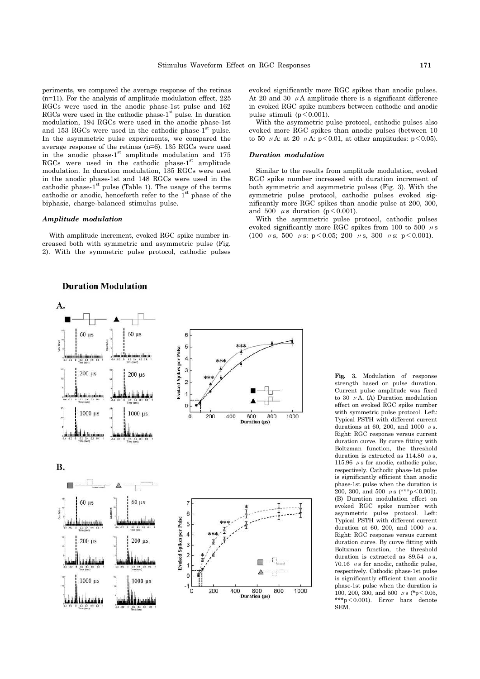periments, we compared the average response of the retinas (n=11). For the analysis of amplitude modulation effect, 225 RGCs were used in the anodic phase-1st pulse and 162 RGCs were used in the cathodic phase- $1<sup>st</sup>$  pulse. In duration modulation, 194 RGCs were used in the anodic phase-1st and 153 RGCs were used in the cathodic phase- $1<sup>st</sup>$  pulse. In the asymmetric pulse experiments, we compared the average response of the retinas (n=6). 135 RGCs were used in the anodic phase-1<sup>st</sup> amplitude modulation and 175 RGCs were used in the cathodic phase- $1<sup>st</sup>$  amplitude modulation. In duration modulation, 135 RGCs were used in the anodic phase-1st and 148 RGCs were used in the cathodic phase- $1<sup>st</sup>$  pulse (Table 1). The usage of the terms cathodic or anodic, henceforth refer to the  $1<sup>st</sup>$  phase of the biphasic, charge-balanced stimulus pulse.

#### *Amplitude modulation*

 With amplitude increment, evoked RGC spike number increased both with symmetric and asymmetric pulse (Fig. 2). With the symmetric pulse protocol, cathodic pulses

# **Duration Modulation**

evoked significantly more RGC spikes than anodic pulses. At 20 and 30  $\mu$ A amplitude there is a significant difference in evoked RGC spike numbers between cathodic and anodic pulse stimuli ( $p < 0.001$ ).

 With the asymmetric pulse protocol, cathodic pulses also evoked more RGC spikes than anodic pulses (between 10 to 50  $\mu$ A: at 20  $\mu$ A: p<0.01, at other amplitudes: p<0.05).

## *Duration modulation*

 Similar to the results from amplitude modulation, evoked RGC spike number increased with duration increment of both symmetric and asymmetric pulses (Fig. 3). With the symmetric pulse protocol, cathodic pulses evoked significantly more RGC spikes than anodic pulse at 200, 300, and 500  $\mu$ s duration (p < 0.001).

 With the asymmetric pulse protocol, cathodic pulses evoked significantly more RGC spikes from 100 to 500  $\,\mu\,\mathrm{s}$ (100  $\mu$ s, 500  $\mu$ s: p<0.05; 200  $\mu$ s, 300  $\mu$ s: p<0.001).



**Fig. 3.** Modulation of response strength based on pulse duration. Current pulse amplitude was fixed to 30  $\mu$ A. (A) Duration modulation effect on evoked RGC spike number with symmetric pulse protocol. Left: Typical PSTH with different current durations at 60, 200, and 1000  $\mu$ s. Right: RGC response versus current duration curve. By curve fitting with Boltzman function, the threshold duration is extracted as  $114.80 \mu s$ . 115.96  $\,\mu\,\text{s}$  for anodic, cathodic pulse, respectively. Cathodic phase-1st pulse is significantly efficient than anodic phase-1st pulse when the duration is 200, 300, and 500  $\mu$ s (\*\*\*p<0.001). (B) Duration modulation effect on evoked RGC spike number with asymmetric pulse protocol. Left: Typical PSTH with different current duration at 60, 200, and 1000  $\mu$ s. Right: RGC response versus current duration curve. By curve fitting with Boltzman function, the threshold duration is extracted as 89.54  $\mu$ s, 70.16  $\mu$  s for anodic, cathodic pulse, respectively. Cathodic phase-1st pulse is significantly efficient than anodic phase-1st pulse when the duration is 100, 200, 300, and 500  $\mu$ s (\*p<0.05, \*\*\*p<0.001). Error bars denote SEM.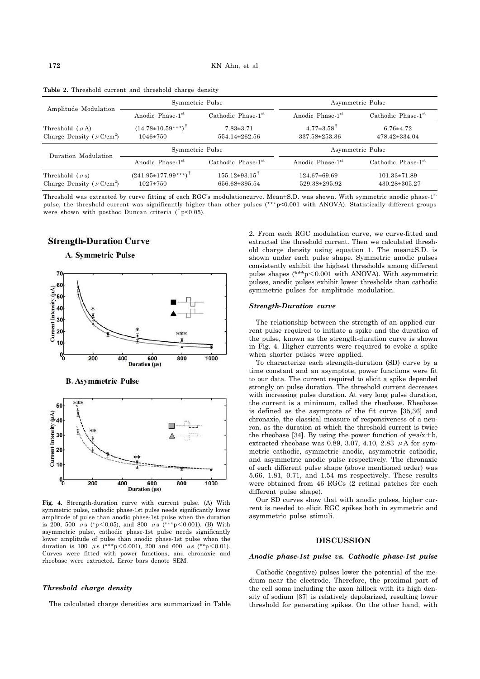| Amplitude Modulation                                              | Symmetric Pulse                                    |                                | Asymmetric Pulse                              |                                        |  |
|-------------------------------------------------------------------|----------------------------------------------------|--------------------------------|-----------------------------------------------|----------------------------------------|--|
|                                                                   | Anodic Phase-1 <sup>st</sup>                       | Cathodic Phase-1st             | Anodic Phase-1 <sup>st</sup>                  | Cathodic Phase-1st                     |  |
| Threshold $(\mu A)$<br>Charge Density ( $\mu$ C/cm <sup>2</sup> ) | $(14.78 \pm 10.59***)^{\dagger}$<br>$1046 \pm 750$ | $7.83\pm3.71$<br>554.14±262.56 | $4.77 \pm 3.58$ <sup>T</sup><br>337.58±253.36 | $6.76{\pm}4.72$<br>$478.42 \pm 334.04$ |  |
|                                                                   |                                                    |                                |                                               |                                        |  |
|                                                                   | Symmetric Pulse                                    |                                |                                               | Asymmetric Pulse                       |  |
| Duration Modulation                                               | Anodic Phase-1 <sup>st</sup>                       | Cathodic Phase-1st             | Anodic Phase-1 <sup>st</sup>                  | Cathodic Phase-1st                     |  |

**Table 2.** Threshold current and threshold charge density

Threshold was extracted by curve fitting of each RGC's modulationcurve. Mean±S.D. was shown. With symmetric anodic phase-1st pulse, the threshold current was significantly higher than other pulses (\*\*\*p<0.001 with ANOVA). Statistically different groups were shown with posthoc Duncan criteria ( $\frac{1}{2}$ p<0.05).

# **Strength-Duration Curve**









**Fig. 4.** Strength-duration curve with current pulse. (A) With symmetric pulse, cathodic phase-1st pulse needs significantly lower amplitude of pulse than anodic phase-1st pulse when the duration is 200, 500  $\mu$ s (\*p<0.05), and 800  $\mu$ s (\*\*\*p<0.001). (B) With asymmetric pulse, cathodic phase-1st pulse needs significantly lower amplitude of pulse than anodic phase-1st pulse when the duration is 100  $\mu s$  (\*\*\*p < 0.001), 200 and 600  $\mu s$  (\*\*p < 0.01). Curves were fitted with power functions, and chronaxie and rheobase were extracted. Error bars denote SEM.

# *Threshold charge density*

The calculated charge densities are summarized in Table

2. From each RGC modulation curve, we curve-fitted and extracted the threshold current. Then we calculated threshold charge density using equation 1. The mean±S.D. is shown under each pulse shape. Symmetric anodic pulses consistently exhibit the highest thresholds among different pulse shapes  $(***p<0.001$  with ANOVA). With asymmetric pulses, anodic pulses exhibit lower thresholds than cathodic symmetric pulses for amplitude modulation.

# *Strength-Duration curve*

 The relationship between the strength of an applied current pulse required to initiate a spike and the duration of the pulse, known as the strength-duration curve is shown in Fig. 4. Higher currents were required to evoke a spike when shorter pulses were applied.

 To characterize each strength-duration (SD) curve by a time constant and an asymptote, power functions were fit to our data. The current required to elicit a spike depended strongly on pulse duration. The threshold current decreases with increasing pulse duration. At very long pulse duration, the current is a minimum, called the rheobase. Rheobase is defined as the asymptote of the fit curve [35,36] and chronaxie, the classical measure of responsiveness of a neuron, as the duration at which the threshold current is twice the rheobase [34]. By using the power function of  $y=a/x+b$ , extracted rheobase was 0.89, 3.07, 4.10, 2.83  $\mu$  A for symmetric cathodic, symmetric anodic, asymmetric cathodic, and asymmetric anodic pulse respectively. The chronaxie of each different pulse shape (above mentioned order) was 5.66, 1.81, 0.71, and 1.54 ms respectively. These results were obtained from 46 RGCs (2 retinal patches for each different pulse shape).

 Our SD curves show that with anodic pulses, higher current is needed to elicit RGC spikes both in symmetric and asymmetric pulse stimuli.

## **DISCUSSION**

### *Anodic phase-1st pulse vs. Cathodic phase-1st pulse*

 Cathodic (negative) pulses lower the potential of the medium near the electrode. Therefore, the proximal part of the cell soma including the axon hillock with its high density of sodium [37] is relatively depolarized, resulting lower threshold for generating spikes. On the other hand, with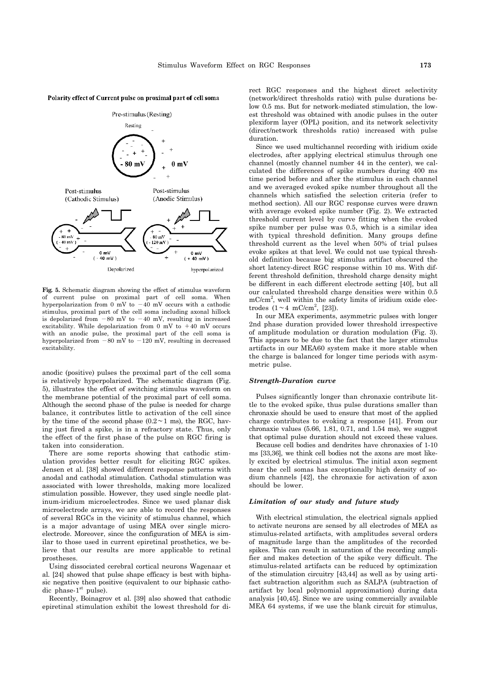#### Polarity effect of Current pulse on proximal part of cell soma



**Fig. 5.** Schematic diagram showing the effect of stimulus waveform of current pulse on proximal part of cell soma. When hyperpolarization from 0 mV to  $-40$  mV occurs with a cathodic stimulus, proximal part of the cell soma including axonal hillock is depolarized from  $-80$  mV to  $-40$  mV, resulting in increased excitability. While depolarization from 0 mV to  $+40$  mV occurs with an anodic pulse, the proximal part of the cell soma is hyperpolarized from −80 mV to −120 mV, resulting in decreased excitability.

anodic (positive) pulses the proximal part of the cell soma is relatively hyperpolarized. The schematic diagram (Fig. 5), illustrates the effect of switching stimulus waveform on the membrane potential of the proximal part of cell soma. Although the second phase of the pulse is needed for charge balance, it contributes little to activation of the cell since by the time of the second phase (0.2∼1 ms), the RGC, having just fired a spike, is in a refractory state. Thus, only the effect of the first phase of the pulse on RGC firing is taken into consideration.

 There are some reports showing that cathodic stimulation provides better result for eliciting RGC spikes. Jensen et al. [38] showed different response patterns with anodal and cathodal stimulation. Cathodal stimulation was associated with lower thresholds, making more localized stimulation possible. However, they used single needle platinum-iridium microelectrodes. Since we used planar disk microelectrode arrays, we are able to record the responses of several RGCs in the vicinity of stimulus channel, which is a major advantage of using MEA over single microelectrode. Moreover, since the configuration of MEA is similar to those used in current epiretinal prosthetics, we believe that our results are more applicable to retinal prostheses.

 Using dissociated cerebral cortical neurons Wagenaar et al. [24] showed that pulse shape efficacy is best with biphasic negative then positive (equivalent to our biphasic cathodic phase- $1<sup>st</sup>$  pulse).

 Recently, Boinagrov et al. [39] also showed that cathodic epiretinal stimulation exhibit the lowest threshold for di-

rect RGC responses and the highest direct selectivity (network/direct thresholds ratio) with pulse durations below 0.5 ms. But for network-mediated stimulation, the lowest threshold was obtained with anodic pulses in the outer plexiform layer (OPL) position, and its network selectivity (direct/network thresholds ratio) increased with pulse duration.

 Since we used multichannel recording with iridium oxide electrodes, after applying electrical stimulus through one channel (mostly channel number 44 in the center), we calculated the differences of spike numbers during 400 ms time period before and after the stimulus in each channel and we averaged evoked spike number throughout all the channels which satisfied the selection criteria (refer to method section). All our RGC response curves were drawn with average evoked spike number (Fig. 2). We extracted threshold current level by curve fitting when the evoked spike number per pulse was 0.5, which is a similar idea with typical threshold definition. Many groups define threshold current as the level when 50% of trial pulses evoke spikes at that level. We could not use typical threshold definition because big stimulus artifact obscured the short latency-direct RGC response within 10 ms. With different threshold definition, threshold charge density might be different in each different electrode setting [40], but all our calculated threshold charge densities were within 0.5 mC/cm<sup>2</sup>, well within the safety limits of iridium oxide electrodes  $(1 \sim 4 \text{ mC/cm}^2$ , [23]).

 In our MEA experiments, asymmetric pulses with longer 2nd phase duration provided lower threshold irrespective of amplitude modulation or duration modulation (Fig. 3). This appears to be due to the fact that the larger stimulus artifacts in our MEA60 system make it more stable when the charge is balanced for longer time periods with asymmetric pulse.

#### *Strength-Duration curve*

 Pulses significantly longer than chronaxie contribute little to the evoked spike, thus pulse durations smaller than chronaxie should be used to ensure that most of the applied charge contributes to evoking a response [41]. From our chronaxie values  $(5.66, 1.81, 0.71,$  and  $1.54$  ms), we suggest that optimal pulse duration should not exceed these values.

 Because cell bodies and dendrites have chronaxies of 1-10 ms [33,36], we think cell bodies not the axons are most likely excited by electrical stimulus. The initial axon segment near the cell somas has exceptionally high density of sodium channels [42], the chronaxie for activation of axon should be lower.

# *Limitation of our study and future study*

 With electrical stimulation, the electrical signals applied to activate neurons are sensed by all electrodes of MEA as stimulus-related artifacts, with amplitudes several orders of magnitude large than the amplitudes of the recorded spikes. This can result in saturation of the recording amplifier and makes detection of the spike very difficult. The stimulus-related artifacts can be reduced by optimization of the stimulation circuitry [43,44] as well as by using artifact subtraction algorithm such as SALPA (subtraction of artifact by local polynomial approximation) during data analysis [40,45]. Since we are using commercially available MEA 64 systems, if we use the blank circuit for stimulus,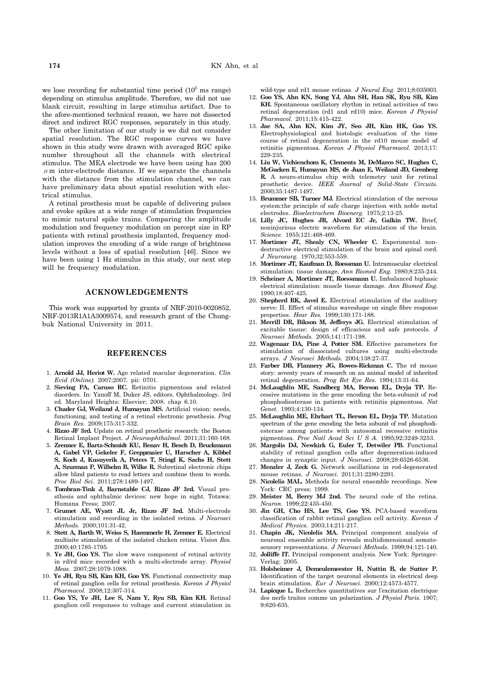we lose recording for substantial time period  $(10^2 \text{ ms range})$ depending on stimulus amplitude. Therefore, we did not use blank circuit, resulting in large stimulus artifact. Due to the afore-mentioned technical reason, we have not dissected direct and indirect RGC responses, separately in this study.

 The other limitation of our study is we did not consider spatial resolution. The RGC response curves we have shown in this study were drawn with averaged RGC spike number throughout all the channels with electrical stimulus. The MEA electrode we have been using has 200  $\mu$  m inter-electrode distance. If we separate the channels with the distance from the stimulation channel, we can have preliminary data about spatial resolution with electrical stimulus.

 A retinal prosthesis must be capable of delivering pulses and evoke spikes at a wide range of stimulation frequencies to mimic natural spike trains. Comparing the amplitude modulation and frequency modulation on percept size in RP patients with retinal prosthesis implanted, frequency modulation improves the encoding of a wide range of brightness levels without a loss of spatial resolution [46]. Since we have been using 1 Hz stimulus in this study, our next step will be frequency modulation.

# **ACKNOWLEDGEMENTS**

 This work was supported by grants of NRF-2010-0020852, NRF-2013R1A1A3009574, and research grant of the Chungbuk National University in 2011.

# **REFERENCES**

- 1. **Arnold JJ, Heriot W.** Age related macular degeneration. *Clin Evid (Online).* 2007;2007. pii: 0701.
- 2. **Sieving PA, Caruso RC.** Retinitis pigmentosa and related disorders. In: Yanoff M, Duker JS, editors. Ophthalmology. 3rd ed. Maryland Heights: Elsevier; 2008. chap 6.10.
- 3. **Chader GJ, Weiland J, Humayun MS.** Artificial vision: needs, functioning, and testing of a retinal electronic prosthesis. *Prog Brain Res.* 2009;175:317-332.
- 4. **Rizzo JF 3rd.** Update on retinal prosthetic research: the Boston Retinal Implant Project. *J Neuroophthalmol.* 2011;31:160-168.
- 5. **Zrenner E, Bartz-Schmidt KU, Benav H, Besch D, Bruckmann A, Gabel VP, Gekeler F, Greppmaier U, Harscher A, Kibbel S, Koch J, Kusnyerik A, Peters T, Stingl K, Sachs H, Stett A, Szurman P, Wilhelm B, Wilke R.** Subretinal electronic chips allow blind patients to read letters and combine them to words. *Proc Biol Sci.* 2011;278:1489-1497.
- 6. **Tombran-Tink J, Barnstable CJ, Rizzo JF 3rd.** Visual prosthesis and ophthalmic devices: new hope in sight. Totawa: Humana Press; 2007.
- 7. **Grumet AE, Wyatt JL Jr, Rizzo JF 3rd.** Multi-electrode stimulation and recording in the isolated retina. *J Neurosci Methods.* 2000;101:31-42.
- 8. **Stett A, Barth W, Weiss S, Haemmerle H, Zrenner E.** Electrical multisite stimulation of the isolated chicken retina. *Vision Res.*  2000;40:1785-1795.
- 9. **Ye JH, Goo YS.** The slow wave component of retinal activity in rd/rd mice recorded with a multi-electrode array. *Physiol Meas.* 2007;28:1079-1088.
- 10. **Ye JH, Ryu SB, Kim KH, Goo YS.** Functional connectivity map of retinal ganglion cells for retinal prosthesis. *Korean J Physiol Pharmacol.* 2008;12:307-314.
- 11. **Goo YS, Ye JH, Lee S, Nam Y, Ryu SB, Kim KH.** Retinal ganglion cell responses to voltage and current stimulation in

wild-type and rd1 mouse retinas. *J Neural Eng.* 2011;8:035003.

- 12. **Goo YS, Ahn KN, Song YJ, Ahn SH, Han SK, Ryu SB, Kim KH.** Spontaneous oscillatory rhythm in retinal activities of two retinal degeneration (rd1 and rd10) mice. *Korean J Physiol Pharmacol.* 2011;15:415-422.
- 13. **Jae SA, Ahn KN, Kim JY, Seo JH, Kim HK, Goo YS.**  Electrophysiological and histologic evaluation of the time course of retinal degeneration in the rd10 mouse model of retinitis pigmentosa. *Korean J Physiol Pharmacol.* 2013;17: 229-235.
- 14. **Liu W, Vichienchom K, Clements M, DeMarco SC, Hughes C, McGucken E, Humayun MS, de Juan E, Weiland JD, Grenberg R.** A neuro-stimulus chip with telemetry unit for retinal prosthetic device. *IEEE Journal of Solid-State Circuits.*  2000;35:1487-1497.
- 15. **Brummer SB, Turner MJ.** Electrical stimulation of the nervous system:the principle of safe charge injection with noble metal electrodes. *Bioelectrochem Bioenerg.* 1975;2:13-25.
- 16. **Lilly JC, Hughes JR, Alvord EC Jr, Galkin TW.** Brief, noninjurious electric waveform for stimulation of the brain. *Science.* 1955;121:468-469.
- 17. Mortimer JT, Shealy CN, Wheeler C. Experimental nondestructive electrical stimulation of the brain and spinal cord. *J Neurosurg.* 1970;32:553-559.
- 18. **Mortimer JT, Kaufman D, Roessman U.** Intramuscular electrical stimulation: tissue damage. *Ann Biomed Eng.* 1980;8:235-244.
- 19. **Scheiner A, Mortimer JT, Roessmann U.** Imbalanced biphasic electrical stimulation: muscle tissue damage. *Ann Biomed Eng.* 1990;18:407-425.
- 20. **Shepherd RK, Javel E.** Electrical stimulation of the auditory nerve: II. Effect of stimulus waveshape on single fibre response properties. *Hear Res.* 1999;130:171-188.
- 21. **Merrill DR, Bikson M, Jefferys JG.** Electrical stimulation of excitable tissue: design of efficacious and safe protocols. *J Neurosci Methods.* 2005;141:171-198.
- 22. **Wagenaar DA, Pine J, Potter SM.** Effective parameters for stimulation of dissociated cultures using multi-electrode arrays. *J Neurosci Methods.* 2004;138:27-37.
- 23. **Farber DB, Flannery JG, Bowes-Rickman C.** The rd mouse story: seventy years of research on an animal model of inherited retinal degeneration. *Prog Ret Eye Res.* 1994;13:31-64.
- 24. **McLaughlin ME, Sandberg MA, Berson EL, Dryja TP.** Recessive mutations in the gene encoding the beta-subunit of rod phosphodiesterase in patients with retinitis pigmentosa. *Nat Genet.* 1993;4:130-134.
- 25. **McLaughlin ME, Ehrhart TL, Berson EL, Dryja TP.** Mutation spectrum of the gene encoding the beta subunit of rod phosphodiesterase among patients with autosomal recessive retinitis pigmentosa. *Proc Natl Acad Sci U S A.* 1995;92:3249-3253.
- 26. **Margolis DJ, Newkirk G, Euler T, Detwiler PB.** Functional stability of retinal ganglion cells after degeneration-induced changes in synaptic input. *J Neurosci.* 2008;28:6526-6536.
- 27. **Menzler J, Zeck G.** Network oscillations in rod-degenerated mouse retinas. *J Neurosci.* 2011;31:2280-2291.
- 28. **Nicolelis MAL.** Methods for neural ensemble recordings. New York: CRC press; 1999.
- 29. **Meister M, Berry MJ 2nd.** The neural code of the retina. *Neuron.* 1999;22:435-450.
- 30. **Jin GH, Cho HS, Lee TS, Goo YS.** PCA-based waveform classification of rabbit retinal ganglion cell activity. *Korean J Medical Physics.* 2003;14:211-217.
- 31. **Chapin JK, Nicolelis MA.** Principal component analysis of neuronal ensemble activity reveals multidimensional somatosensory representations. *J Neurosci Methods.* 1999;94:121-140.
- 32. **Jolliffe IT.** Principal component analysis. New York: Springer-Verlag; 2005.
- 33. **Holsheimer J, Demeulemeester H, Nuttin B, de Sutter P.**  Identification of the target neuronal elements in electrical deep brain stimulation. *Eur J Neurosci.* 2000;12:4573-4577.
- 34. **Lapicque L.** Recherches quantitatives sur l'excitation electrique des nerfs traites comme un polarization. *J Physiol Paris.* 1907; 9:620-635.